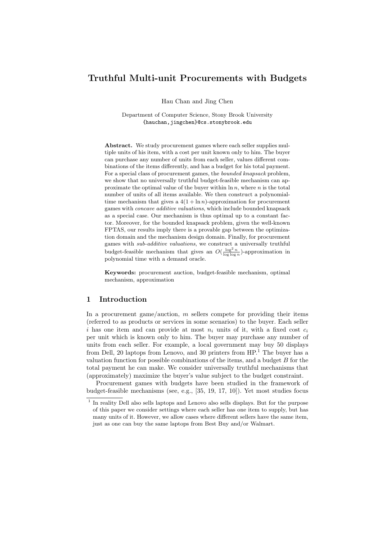Hau Chan and Jing Chen

Department of Computer Science, Stony Brook University {hauchan,jingchen}@cs.stonybrook.edu

Abstract. We study procurement games where each seller supplies multiple units of his item, with a cost per unit known only to him. The buyer can purchase any number of units from each seller, values different combinations of the items differently, and has a budget for his total payment. For a special class of procurement games, the bounded knapsack problem, we show that no universally truthful budget-feasible mechanism can approximate the optimal value of the buyer within  $\ln n$ , where n is the total number of units of all items available. We then construct a polynomialtime mechanism that gives a  $4(1 + \ln n)$ -approximation for procurement games with concave additive valuations, which include bounded knapsack as a special case. Our mechanism is thus optimal up to a constant factor. Moreover, for the bounded knapsack problem, given the well-known FPTAS, our results imply there is a provable gap between the optimization domain and the mechanism design domain. Finally, for procurement games with sub-additive valuations, we construct a universally truthful budget-feasible mechanism that gives an  $O(\frac{\log^2 n}{\log \log n})$ -approximation in polynomial time with a demand oracle.

Keywords: procurement auction, budget-feasible mechanism, optimal mechanism, approximation

### 1 Introduction

In a procurement game/auction,  $m$  sellers compete for providing their items (referred to as products or services in some scenarios) to the buyer. Each seller i has one item and can provide at most  $n_i$  units of it, with a fixed cost  $c_i$ per unit which is known only to him. The buyer may purchase any number of units from each seller. For example, a local government may buy 50 displays from Dell, 20 laptops from Lenovo, and 30 printers from  $HP<sup>1</sup>$ . The buyer has a valuation function for possible combinations of the items, and a budget  $B$  for the total payment he can make. We consider universally truthful mechanisms that (approximately) maximize the buyer's value subject to the budget constraint.

Procurement games with budgets have been studied in the framework of budget-feasible mechanisms (see, e.g., [35, 19, 17, 10]). Yet most studies focus

<sup>&</sup>lt;sup>1</sup> In reality Dell also sells laptops and Lenovo also sells displays. But for the purpose of this paper we consider settings where each seller has one item to supply, but has many units of it. However, we allow cases where different sellers have the same item, just as one can buy the same laptops from Best Buy and/or Walmart.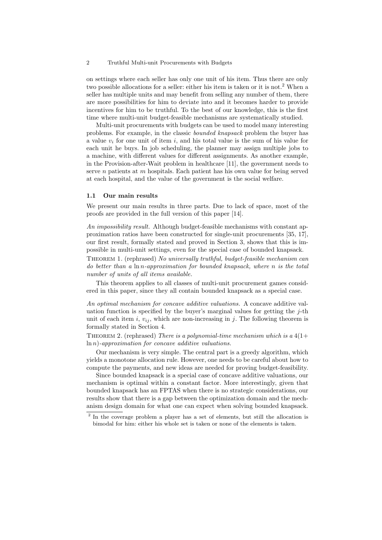on settings where each seller has only one unit of his item. Thus there are only two possible allocations for a seller: either his item is taken or it is not.<sup>2</sup> When a seller has multiple units and may benefit from selling any number of them, there are more possibilities for him to deviate into and it becomes harder to provide incentives for him to be truthful. To the best of our knowledge, this is the first time where multi-unit budget-feasible mechanisms are systematically studied.

Multi-unit procurements with budgets can be used to model many interesting problems. For example, in the classic bounded knapsack problem the buyer has a value  $v_i$  for one unit of item i, and his total value is the sum of his value for each unit he buys. In job scheduling, the planner may assign multiple jobs to a machine, with different values for different assignments. As another example, in the Provision-after-Wait problem in healthcare [11], the government needs to serve n patients at m hospitals. Each patient has his own value for being served at each hospital, and the value of the government is the social welfare.

#### 1.1 Our main results

We present our main results in three parts. Due to lack of space, most of the proofs are provided in the full version of this paper [14].

An impossibility result. Although budget-feasible mechanisms with constant approximation ratios have been constructed for single-unit procurements [35, 17], our first result, formally stated and proved in Section 3, shows that this is impossible in multi-unit settings, even for the special case of bounded knapsack.

Theorem 1. (rephrased) No universally truthful, budget-feasible mechanism can do better than a  $\ln n$ -approximation for bounded knapsack, where n is the total number of units of all items available.

This theorem applies to all classes of multi-unit procurement games considered in this paper, since they all contain bounded knapsack as a special case.

An optimal mechanism for concave additive valuations. A concave additive valuation function is specified by the buyer's marginal values for getting the  $j$ -th unit of each item i,  $v_{ij}$ , which are non-increasing in j. The following theorem is formally stated in Section 4.

THEOREM 2. (rephrased) There is a polynomial-time mechanism which is a  $4(1+$  $\ln n$ )-approximation for concave additive valuations.

Our mechanism is very simple. The central part is a greedy algorithm, which yields a monotone allocation rule. However, one needs to be careful about how to compute the payments, and new ideas are needed for proving budget-feasibility.

Since bounded knapsack is a special case of concave additive valuations, our mechanism is optimal within a constant factor. More interestingly, given that bounded knapsack has an FPTAS when there is no strategic considerations, our results show that there is a gap between the optimization domain and the mechanism design domain for what one can expect when solving bounded knapsack.

<sup>&</sup>lt;sup>2</sup> In the coverage problem a player has a set of elements, but still the allocation is bimodal for him: either his whole set is taken or none of the elements is taken.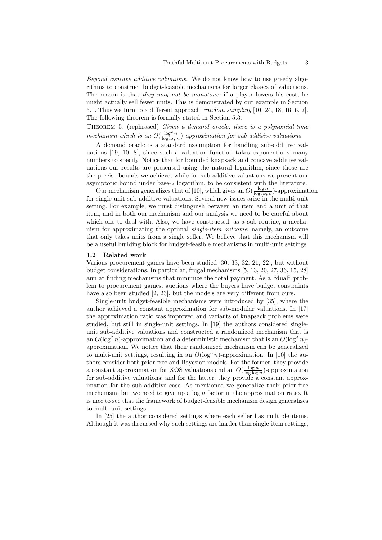Beyond concave additive valuations. We do not know how to use greedy algorithms to construct budget-feasible mechanisms for larger classes of valuations. The reason is that they may not be monotone: if a player lowers his cost, he might actually sell fewer units. This is demonstrated by our example in Section 5.1. Thus we turn to a different approach, random sampling [10, 24, 18, 16, 6, 7]. The following theorem is formally stated in Section 5.3.

THEOREM 5. (rephrased) Given a demand oracle, there is a polynomial-time mechanism which is an  $O(\frac{\log^2 n}{\log \log n})$ -approximation for sub-additive valuations.

A demand oracle is a standard assumption for handling sub-additive valuations [19, 10, 8], since such a valuation function takes exponentially many numbers to specify. Notice that for bounded knapsack and concave additive valuations our results are presented using the natural logarithm, since those are the precise bounds we achieve; while for sub-additive valuations we present our asymptotic bound under base-2 logarithm, to be consistent with the literature.

Our mechanism generalizes that of [10], which gives an  $O(\frac{\log n}{\log \log n})$ -approximation for single-unit sub-additive valuations. Several new issues arise in the multi-unit setting. For example, we must distinguish between an item and a unit of that item, and in both our mechanism and our analysis we need to be careful about which one to deal with. Also, we have constructed, as a sub-routine, a mechanism for approximating the optimal single-item outcome: namely, an outcome that only takes units from a single seller. We believe that this mechanism will be a useful building block for budget-feasible mechanisms in multi-unit settings.

### 1.2 Related work

Various procurement games have been studied [30, 33, 32, 21, 22], but without budget considerations. In particular, frugal mechanisms [5, 13, 20, 27, 36, 15, 28] aim at finding mechanisms that minimize the total payment. As a "dual" problem to procurement games, auctions where the buyers have budget constraints have also been studied [2, 23], but the models are very different from ours.

Single-unit budget-feasible mechanisms were introduced by [35], where the author achieved a constant approximation for sub-modular valuations. In [17] the approximation ratio was improved and variants of knapsack problems were studied, but still in single-unit settings. In [19] the authors considered singleunit sub-additive valuations and constructed a randomized mechanism that is an  $O(\log^2 n)$ -approximation and a deterministic mechanism that is an  $O(\log^3 n)$ approximation. We notice that their randomized mechanism can be generalized to multi-unit settings, resulting in an  $O(\log^3 n)$ -approximation. In [10] the authors consider both prior-free and Bayesian models. For the former, they provide a constant approximation for XOS valuations and an  $O(\frac{\log n}{\log \log n})$ -approximation for sub-additive valuations; and for the latter, they provide a constant approximation for the sub-additive case. As mentioned we generalize their prior-free mechanism, but we need to give up a  $\log n$  factor in the approximation ratio. It is nice to see that the framework of budget-feasible mechanism design generalizes to multi-unit settings.

In [25] the author considered settings where each seller has multiple items. Although it was discussed why such settings are harder than single-item settings,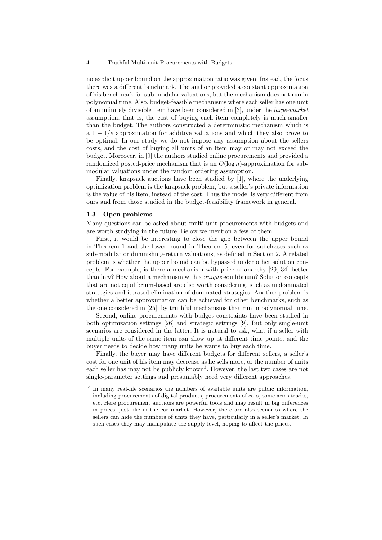no explicit upper bound on the approximation ratio was given. Instead, the focus there was a different benchmark. The author provided a constant approximation of his benchmark for sub-modular valuations, but the mechanism does not run in polynomial time. Also, budget-feasible mechanisms where each seller has one unit of an infinitely divisible item have been considered in [3], under the large-market assumption: that is, the cost of buying each item completely is much smaller than the budget. The authors constructed a deterministic mechanism which is a  $1 - 1/e$  approximation for additive valuations and which they also prove to be optimal. In our study we do not impose any assumption about the sellers costs, and the cost of buying all units of an item may or may not exceed the budget. Moreover, in [9] the authors studied online procurements and provided a randomized posted-price mechanism that is an  $O(\log n)$ -approximation for submodular valuations under the random ordering assumption.

Finally, knapsack auctions have been studied by [1], where the underlying optimization problem is the knapsack problem, but a seller's private information is the value of his item, instead of the cost. Thus the model is very different from ours and from those studied in the budget-feasibility framework in general.

### 1.3 Open problems

Many questions can be asked about multi-unit procurements with budgets and are worth studying in the future. Below we mention a few of them.

First, it would be interesting to close the gap between the upper bound in Theorem 1 and the lower bound in Theorem 5, even for subclasses such as sub-modular or diminishing-return valuations, as defined in Section 2. A related problem is whether the upper bound can be bypassed under other solution concepts. For example, is there a mechanism with price of anarchy [29, 34] better than  $\ln n$ ? How about a mechanism with a *unique* equilibrium? Solution concepts that are not equilibrium-based are also worth considering, such as undominated strategies and iterated elimination of dominated strategies. Another problem is whether a better approximation can be achieved for other benchmarks, such as the one considered in [25], by truthful mechanisms that run in polynomial time.

Second, online procurements with budget constraints have been studied in both optimization settings [26] and strategic settings [9]. But only single-unit scenarios are considered in the latter. It is natural to ask, what if a seller with multiple units of the same item can show up at different time points, and the buyer needs to decide how many units he wants to buy each time.

Finally, the buyer may have different budgets for different sellers, a seller's cost for one unit of his item may decrease as he sells more, or the number of units each seller has may not be publicly known<sup>3</sup>. However, the last two cases are not single-parameter settings and presumably need very different approaches.

<sup>&</sup>lt;sup>3</sup> In many real-life scenarios the numbers of available units are public information, including procurements of digital products, procurements of cars, some arms trades, etc. Here procurement auctions are powerful tools and may result in big differences in prices, just like in the car market. However, there are also scenarios where the sellers can hide the numbers of units they have, particularly in a seller's market. In such cases they may manipulate the supply level, hoping to affect the prices.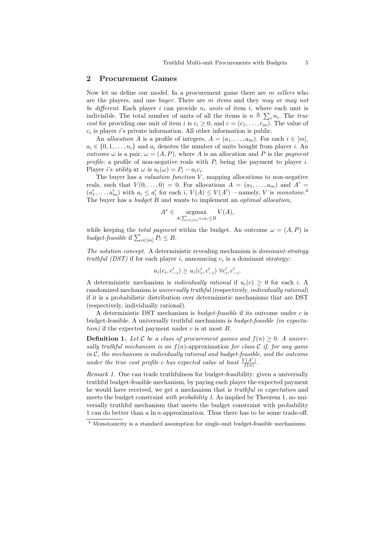### 2 Procurement Games

Now let us define our model. In a procurement game there are m sellers who are the players, and one buyer. There are m items and they may or may not be different. Each player i can provide  $n_i$  units of item i, where each unit is indivisible. The total number of units of all the items is  $n \triangleq \sum_i n_i$ . The true cost for providing one unit of item i is  $c_i \geq 0$ , and  $c = (c_1, \ldots, c_m)$ . The value of  $c_i$  is player *i*'s private information. All other information is public.

An allocation A is a profile of integers,  $A = (a_1, \ldots, a_m)$ . For each  $i \in [m]$ ,  $a_i \in \{0, 1, \ldots, n_i\}$  and  $a_i$  denotes the number of units bought from player i. An *outcome*  $\omega$  is a pair,  $\omega = (A, P)$ , where A is an allocation and P is the *payment* profile: a profile of non-negative reals with  $P_i$  being the payment to player i. Player *i*'s *utility* at  $\omega$  is  $u_i(\omega) = P_i - a_i c_i$ .

The buyer has a *valuation function*  $V$ , mapping allocations to non-negative reals, such that  $V(0,\ldots,0) = 0$ . For allocations  $A = (a_1,\ldots,a_m)$  and  $A' =$  $(a'_1, \ldots, a'_m)$  with  $a_i \leq a'_i$  for each  $i, V(A) \leq V(A')$  —namely, V is monotone.<sup>4</sup> The buyer has a *budget B* and wants to implement an *optimal allocation*,

$$
A^* \in \underset{A:\sum_{i \in [m]} c_i a_i \le B}{\operatorname{argmax}} V(A),
$$

while keeping the *total payment* within the budget. An outcome  $\omega = (A, P)$  is budget-feasible if  $\sum_{i \in [m]} P_i \leq B$ .

The solution concept. A deterministic revealing mechanism is dominant-strategy truthful (DST) if for each player i, announcing  $c_i$  is a dominant strategy:

$$
u_i(c_i, c'_{-i}) \ge u_i(c'_i, c'_{-i}) \ \forall c'_i, c'_{-i}.
$$

A deterministic mechanism is *individually rational* if  $u_i(c) \geq 0$  for each *i*. A randomized mechanism is universally truthful (respectively, individually rational) if it is a probabilistic distribution over deterministic mechanisms that are DST (respectively, individually rational).

A deterministic DST mechanism is *budget-feasible* if its outcome under  $c$  is budget-feasible. A universally truthful mechanism is budget-feasible (in expectation) if the expected payment under  $c$  is at most  $B$ .

**Definition 1.** Let C be a class of procurement games and  $f(n) \geq 0$ . A universally truthful mechanism is an  $f(n)$ -approximation for class C if, for any game in  $C$ , the mechanism is individually rational and budget-feasible, and the outcome under the true cost profile c has expected value at least  $\frac{V(A^*)}{f(n)}$  $\frac{f(A^+)}{f(n)}$ .

Remark 1. One can trade truthfulness for budget-feasibility: given a universally truthful budget-feasible mechanism, by paying each player the expected payment he would have received, we get a mechanism that is *truthful in expectation* and meets the budget constraint *with probability 1*. As implied by Theorem 1, no universally truthful mechanism that meets the budget constraint with probability 1 can do better than a  $\ln n$ -approximation. Thus there has to be some trade-off.

<sup>4</sup> Monotonicity is a standard assumption for single-unit budget-feasible mechanisms.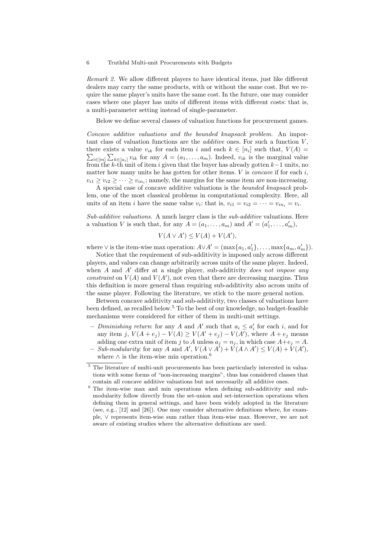Remark 2. We allow different players to have identical items, just like different dealers may carry the same products, with or without the same cost. But we require the same player's units have the same cost. In the future, one may consider cases where one player has units of different items with different costs: that is, a multi-parameter setting instead of single-parameter.

Below we define several classes of valuation functions for procurement games.

Concave additive valuations and the bounded knapsack problem. An important class of valuation functions are the *additive* ones. For such a function  $V$ , there exists a value  $v_{ik}$  for each item i and each  $k \in [n_i]$  such that,  $V(A) =$  $\sum_{i\in[m]}\sum_{k\in[a_i]}v_{ik}$  for any  $A=(a_1,\ldots,a_m)$ . Indeed,  $v_{ik}$  is the marginal value from the k-th unit of item i given that the buyer has already gotten  $k-1$  units, no matter how many units he has gotten for other items.  $V$  is *concave* if for each  $i$ ,  $v_{i1} \ge v_{i2} \ge \cdots \ge v_{in_i}$ ; namely, the margins for the same item are non-increasing.

A special case of concave additive valuations is the bounded knapsack problem, one of the most classical problems in computational complexity. Here, all units of an item *i* have the same value  $v_i$ : that is,  $v_{i1} = v_{i2} = \cdots = v_{in_i} = v_i$ .

Sub-additive valuations. A much larger class is the sub-additive valuations. Here a valuation V is such that, for any  $A = (a_1, \ldots, a_m)$  and  $A' = (a'_1, \ldots, a'_m)$ ,

$$
V(A \vee A') \le V(A) + V(A'),
$$

where  $\vee$  is the item-wise max operation:  $A \vee A' = (\max\{a_1, a'_1\}, \ldots, \max\{a_m, a'_m\}).$ 

Notice that the requirement of sub-additivity is imposed only across different players, and values can change arbitrarily across units of the same player. Indeed, when  $A$  and  $A'$  differ at a single player, sub-additivity *does not impose any* constraint on  $V(A)$  and  $V(A')$ , not even that there are decreasing margins. Thus this definition is more general than requiring sub-additivity also across units of the same player. Following the literature, we stick to the more general notion.

Between concave additivity and sub-additivity, two classes of valuations have been defined, as recalled below.<sup>5</sup> To the best of our knowledge, no budget-feasible mechanisms were considered for either of them in multi-unit settings.

- Diminishing return: for any A and A' such that  $a_i \leq a'_i$  for each i, and for any item j,  $V(A + e_j) - V(A) \ge V(A' + e_j) - V(A')$ , where  $A + e_j$  means adding one extra unit of item j to A unless  $a_j = n_j$ , in which case  $A+e_j = A$ . - Sub-modularity: for any A and  $A'$ ,  $V(A \vee A') + V(A \wedge A') \leq V(A) + V(A')$ , where  $\wedge$  is the item-wise min operation.<sup>6</sup>

 $^5$  The literature of multi-unit procurements has been particularly interested in valuations with some forms of "non-increasing margins", thus has considered classes that contain all concave additive valuations but not necessarily all additive ones.

<sup>6</sup> The item-wise max and min operations when defining sub-additivity and submodularity follow directly from the set-union and set-intersection operations when defining them in general settings, and have been widely adopted in the literature (see, e.g., [12] and [26]). One may consider alternative definitions where, for example, ∨ represents item-wise sum rather than item-wise max. However, we are not aware of existing studies where the alternative definitions are used.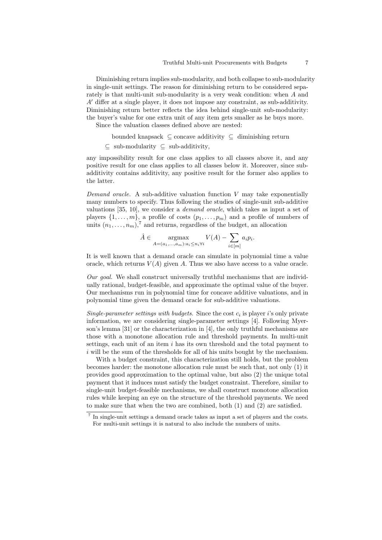Diminishing return implies sub-modularity, and both collapse to sub-modularity in single-unit settings. The reason for diminishing return to be considered separately is that multi-unit sub-modularity is a very weak condition: when A and  $A<sup>'</sup>$  differ at a single player, it does not impose any constraint, as sub-additivity. Diminishing return better reflects the idea behind single-unit sub-modularity: the buyer's value for one extra unit of any item gets smaller as he buys more.

Since the valuation classes defined above are nested:

bounded knapsack ⊆ concave additivity ⊆ diminishing return

 $\subseteq$  sub-modularity  $\subseteq$  sub-additivity,

any impossibility result for one class applies to all classes above it, and any positive result for one class applies to all classes below it. Moreover, since subadditivity contains additivity, any positive result for the former also applies to the latter.

Demand oracle. A sub-additive valuation function  $V$  may take exponentially many numbers to specify. Thus following the studies of single-unit sub-additive valuations [35, 10], we consider a demand oracle, which takes as input a set of players  $\{1, \ldots, m\}$ , a profile of costs  $(p_1, \ldots, p_m)$  and a profile of numbers of units  $(n_1, \ldots, n_m)$ ,<sup>7</sup> and returns, regardless of the budget, an allocation

$$
\hat{A} \in \underset{A = (a_1, \dots, a_m): a_i \le n_i \forall i}{\text{argmax}} V(A) - \sum_{i \in [m]} a_i p_i.
$$

It is well known that a demand oracle can simulate in polynomial time a value oracle, which returns  $V(A)$  given A. Thus we also have access to a value oracle.

Our goal. We shall construct universally truthful mechanisms that are individually rational, budget-feasible, and approximate the optimal value of the buyer. Our mechanisms run in polynomial time for concave additive valuations, and in polynomial time given the demand oracle for sub-additive valuations.

Single-parameter settings with budgets. Since the cost  $c_i$  is player i's only private information, we are considering single-parameter settings [4]. Following Myerson's lemma [31] or the characterization in [4], the only truthful mechanisms are those with a monotone allocation rule and threshold payments. In multi-unit settings, each unit of an item  $i$  has its own threshold and the total payment to i will be the sum of the thresholds for all of his units bought by the mechanism.

With a budget constraint, this characterization still holds, but the problem becomes harder: the monotone allocation rule must be such that, not only (1) it provides good approximation to the optimal value, but also (2) the unique total payment that it induces must satisfy the budget constraint. Therefore, similar to single-unit budget-feasible mechanisms, we shall construct monotone allocation rules while keeping an eye on the structure of the threshold payments. We need to make sure that when the two are combined, both (1) and (2) are satisfied.

<sup>&</sup>lt;sup>7</sup> In single-unit settings a demand oracle takes as input a set of players and the costs. For multi-unit settings it is natural to also include the numbers of units.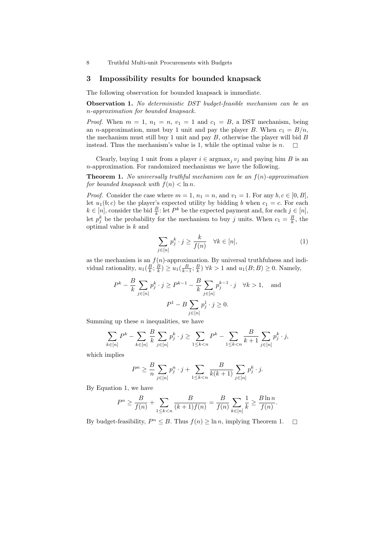### 3 Impossibility results for bounded knapsack

The following observation for bounded knapsack is immediate.

Observation 1. No deterministic DST budget-feasible mechanism can be an n-approximation for bounded knapsack.

*Proof.* When  $m = 1$ ,  $n_1 = n$ ,  $v_1 = 1$  and  $c_1 = B$ , a DST mechanism, being an *n*-approximation, must buy 1 unit and pay the player B. When  $c_1 = B/n$ , the mechanism must still buy 1 unit and pay  $B$ , otherwise the player will bid  $B$ instead. Thus the mechanism's value is 1, while the optimal value is  $n$ .

Clearly, buying 1 unit from a player  $i \in \text{argmax}_j v_j$  and paying him B is an n-approximation. For randomized mechanisms we have the following.

**Theorem 1.** No universally truthful mechanism can be an  $f(n)$ -approximation for bounded knapsack with  $f(n) < \ln n$ .

*Proof.* Consider the case where  $m = 1$ ,  $n_1 = n$ , and  $v_1 = 1$ . For any  $b, c \in [0, B]$ , let  $u_1(b;c)$  be the player's expected utility by bidding b when  $c_1 = c$ . For each  $k \in [n]$ , consider the bid  $\frac{B}{k}$ : let  $P^k$  be the expected payment and, for each  $j \in [n]$ , let  $p_j^k$  be the probability for the mechanism to buy j units. When  $c_1 = \frac{B}{k}$ , the optimal value is k and

$$
\sum_{j \in [n]} p_j^k \cdot j \ge \frac{k}{f(n)} \quad \forall k \in [n], \tag{1}
$$

as the mechanism is an  $f(n)$ -approximation. By universal truthfulness and individual rationality,  $u_1(\frac{B}{k}; \frac{B}{k}) \ge u_1(\frac{B}{k-1}; \frac{B}{k}) \forall k > 1$  and  $u_1(B; B) \ge 0$ . Namely,

$$
P^{k} - \frac{B}{k} \sum_{j \in [n]} p_{j}^{k} \cdot j \ge P^{k-1} - \frac{B}{k} \sum_{j \in [n]} p_{j}^{k-1} \cdot j \quad \forall k > 1, \text{ and}
$$

$$
P^{1} - B \sum_{j \in [n]} p_{j}^{1} \cdot j \ge 0.
$$

Summing up these  $n$  inequalities, we have

$$
\sum_{k \in [n]} P^k - \sum_{k \in [n]} \frac{B}{k} \sum_{j \in [n]} p_j^k \cdot j \ge \sum_{1 \le k < n} P^k - \sum_{1 \le k < n} \frac{B}{k+1} \sum_{j \in [n]} p_j^k \cdot j,
$$

which implies

$$
P^{n} \geq \frac{B}{n} \sum_{j \in [n]} p_{j}^{n} \cdot j + \sum_{1 \leq k < n} \frac{B}{k(k+1)} \sum_{j \in [n]} p_{j}^{k} \cdot j.
$$

By Equation 1, we have

$$
P^{n} \geq \frac{B}{f(n)} + \sum_{1 \leq k < n} \frac{B}{(k+1)f(n)} = \frac{B}{f(n)} \sum_{k \in [n]} \frac{1}{k} \geq \frac{B \ln n}{f(n)}.
$$

By budget-feasibility,  $P^n \leq B$ . Thus  $f(n) \geq \ln n$ , implying Theorem 1.  $\Box$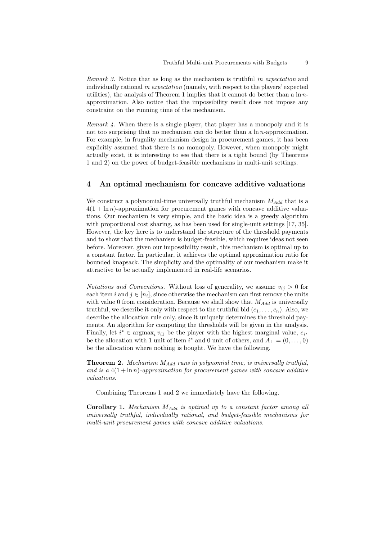Remark 3. Notice that as long as the mechanism is truthful in expectation and individually rational in expectation (namely, with respect to the players' expected utilities), the analysis of Theorem 1 implies that it cannot do better than a  $\ln n$ approximation. Also notice that the impossibility result does not impose any constraint on the running time of the mechanism.

Remark 4. When there is a single player, that player has a monopoly and it is not too surprising that no mechanism can do better than a ln *n*-approximation. For example, in frugality mechanism design in procurement games, it has been explicitly assumed that there is no monopoly. However, when monopoly might actually exist, it is interesting to see that there is a tight bound (by Theorems 1 and 2) on the power of budget-feasible mechanisms in multi-unit settings.

### 4 An optimal mechanism for concave additive valuations

We construct a polynomial-time universally truthful mechanism  $M_{Add}$  that is a  $4(1 + \ln n)$ -approximation for procurement games with concave additive valuations. Our mechanism is very simple, and the basic idea is a greedy algorithm with proportional cost sharing, as has been used for single-unit settings [17, 35]. However, the key here is to understand the structure of the threshold payments and to show that the mechanism is budget-feasible, which requires ideas not seen before. Moreover, given our impossibility result, this mechanism is optimal up to a constant factor. In particular, it achieves the optimal approximation ratio for bounded knapsack. The simplicity and the optimality of our mechanism make it attractive to be actually implemented in real-life scenarios.

Notations and Conventions. Without loss of generality, we assume  $v_{ij} > 0$  for each item i and  $j \in [n_i]$ , since otherwise the mechanism can first remove the units with value 0 from consideration. Because we shall show that  $M_{Add}$  is universally truthful, we describe it only with respect to the truthful bid  $(c_1, \ldots, c_n)$ . Also, we describe the allocation rule only, since it uniquely determines the threshold payments. An algorithm for computing the thresholds will be given in the analysis. Finally, let  $i^* \in \text{argmax}_i v_{i1}$  be the player with the highest marginal value,  $e_{i^*}$ be the allocation with 1 unit of item  $i^*$  and 0 unit of others, and  $A_{\perp} = (0, \ldots, 0)$ be the allocation where nothing is bought. We have the following.

**Theorem 2.** Mechanism  $M_{Add}$  runs in polynomial time, is universally truthful, and is a  $4(1 + \ln n)$ -approximation for procurement games with concave additive valuations.

Combining Theorems 1 and 2 we immediately have the following.

**Corollary 1.** Mechanism  $M_{Add}$  is optimal up to a constant factor among all universally truthful, individually rational, and budget-feasible mechanisms for multi-unit procurement games with concave additive valuations.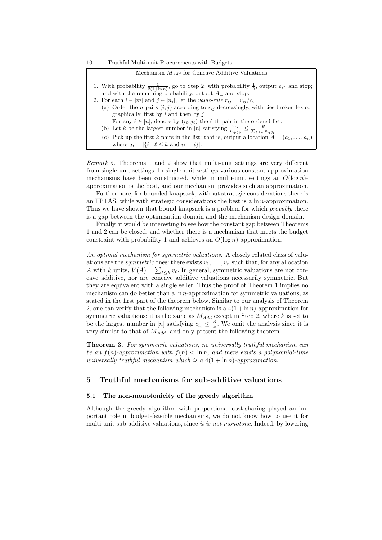### Mechanism  $M_{Add}$  for Concave Additive Valuations

| 1. With probability $\frac{1}{2(1+\ln n)}$ , go to Step 2; with probability $\frac{1}{2}$ , output $e_{i^*}$ and stop; |
|------------------------------------------------------------------------------------------------------------------------|
| and with the remaining probability, output $A_{\perp}$ and stop.                                                       |
| $\sim$ $\blacksquare$                                                                                                  |

- 2. For each  $i \in [m]$  and  $j \in [n_i]$ , let the value-rate  $r_{ij} = v_{ij}/c_i$ . (a) Order the n pairs  $(i, j)$  according to  $r_{ij}$  decreasingly, with ties broken lexico
	- graphically, first by  $i$  and then by  $j$ . For any  $\ell \in [n]$ , denote by  $(i_{\ell}, j_{\ell})$  the  $\ell$ -th pair in the ordered list.
	- (b) Let k be the largest number in [n] satisfying  $\frac{c_{i_k}}{v_{i_k j_k}} \leq \frac{B}{\sum_{\ell \leq k} v_{i_\ell j_\ell}}$ .
	- (c) Pick up the first k pairs in the list: that is, output allocation  $A = (a_1, \ldots, a_n)$ where  $a_i = |\{\ell : \ell \leq k \text{ and } i_{\ell} = i\}|.$

Remark 5. Theorems 1 and 2 show that multi-unit settings are very different from single-unit settings. In single-unit settings various constant-approximation mechanisms have been constructed, while in multi-unit settings an  $O(\log n)$ approximation is the best, and our mechanism provides such an approximation.

Furthermore, for bounded knapsack, without strategic considerations there is an FPTAS, while with strategic considerations the best is a  $\ln n$ -approximation. Thus we have shown that bound knapsack is a problem for which *provably* there is a gap between the optimization domain and the mechanism design domain.

Finally, it would be interesting to see how the constant gap between Theorems 1 and 2 can be closed, and whether there is a mechanism that meets the budget constraint with probability 1 and achieves an  $O(\log n)$ -approximation.

An optimal mechanism for symmetric valuations. A closely related class of valuations are the *symmetric* ones: there exists  $v_1, \ldots, v_n$  such that, for any allocation A with k units,  $V(A) = \sum_{\ell \leq k} v_{\ell}$ . In general, symmetric valuations are not concave additive, nor are concave additive valuations necessarily symmetric. But they are equivalent with a single seller. Thus the proof of Theorem 1 implies no mechanism can do better than a  $\ln n$ -approximation for symmetric valuations, as stated in the first part of the theorem below. Similar to our analysis of Theorem 2, one can verify that the following mechanism is a  $4(1+\ln n)$ -approximation for symmetric valuations: it is the same as  $M_{Add}$  except in Step 2, where k is set to be the largest number in [n] satisfying  $c_{i_k} \leq \frac{B}{k}$ . We omit the analysis since it is very similar to that of  $M_{Add}$ , and only present the following theorem.

Theorem 3. For symmetric valuations, no universally truthful mechanism can be an  $f(n)$ -approximation with  $f(n) < \ln n$ , and there exists a polynomial-time universally truthful mechanism which is a  $4(1 + \ln n)$ -approximation.

### 5 Truthful mechanisms for sub-additive valuations

### 5.1 The non-monotonicity of the greedy algorithm

Although the greedy algorithm with proportional cost-sharing played an important role in budget-feasible mechanisms, we do not know how to use it for multi-unit sub-additive valuations, since *it is not monotone*. Indeed, by lowering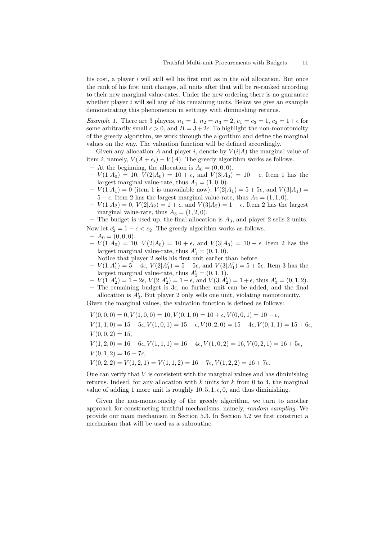his cost, a player i will still sell his first unit as in the old allocation. But once the rank of his first unit changes, all units after that will be re-ranked according to their new marginal value-rates. Under the new ordering there is no guarantee whether player  $i$  will sell any of his remaining units. Below we give an example demonstrating this phenomenon in settings with diminishing returns.

*Example 1.* There are 3 players,  $n_1 = 1$ ,  $n_2 = n_3 = 2$ ,  $c_1 = c_3 = 1$ ,  $c_2 = 1 + \epsilon$  for some arbitrarily small  $\epsilon > 0$ , and  $B = 3 + 2\epsilon$ . To highlight the non-monotonicity of the greedy algorithm, we work through the algorithm and define the marginal values on the way. The valuation function will be defined accordingly.

Given any allocation A and player i, denote by  $V(i|A)$  the marginal value of item i, namely,  $V(A + e_i) - V(A)$ . The greedy algorithm works as follows.

- At the beginning, the allocation is  $A_0 = (0, 0, 0)$ .
- $-V(1|A_0) = 10, V(2|A_0) = 10 + \epsilon$ , and  $V(3|A_0) = 10 \epsilon$ . Item 1 has the largest marginal value-rate, thus  $A_1 = (1, 0, 0)$ .
- $-V(1|A_1) = 0$  (item 1 is unavailable now),  $V(2|A_1) = 5 + 5\epsilon$ , and  $V(3|A_1) =$  $5 - \epsilon$ . Item 2 has the largest marginal value-rate, thus  $A_2 = (1, 1, 0)$ .
- $-V(1|A_2) = 0, V(2|A_2) = 1 + \epsilon$ , and  $V(3|A_2) = 1 \epsilon$ . Item 2 has the largest marginal value-rate, thus  $A_3 = (1, 2, 0)$ .

– The budget is used up, the final allocation is  $A_3$ , and player 2 sells 2 units. Now let  $c'_2 = 1 - \epsilon < c_2$ . The greedy algorithm works as follows.

- $-A_0 = (0, 0, 0).$
- $-V(1|A_0) = 10, V(2|A_0) = 10 + \epsilon$ , and  $V(3|A_0) = 10 \epsilon$ . Item 2 has the largest marginal value-rate, thus  $A'_1 = (0, 1, 0)$ .
- Notice that player 2 sells his first unit earlier than before.  $-V(1|A'_1) = 5 + 4\epsilon$ ,  $V(2|A'_1) = 5 - 5\epsilon$ , and  $V(3|A'_1) = 5 + 5\epsilon$ . Item 3 has the largest marginal value-rate, thus  $A'_2 = (0, 1, 1)$ .
- $-V(1|A'_2) = 1 2\epsilon, V(2|A'_2) = 1 \epsilon$ , and  $V(3|A'_2) = 1 + \epsilon$ , thus  $A'_3 = (0, 1, 2)$ .

– The remaining budget is  $3\epsilon$ , no further unit can be added, and the final allocation is  $A'_3$ . But player 2 only sells one unit, violating monotonicity.

Given the marginal values, the valuation function is defined as follows:

 $V(0, 0, 0) = 0, V(1, 0, 0) = 10, V(0, 1, 0) = 10 + \epsilon, V(0, 0, 1) = 10 - \epsilon,$ 

 $V(1,1,0) = 15 + 5\epsilon, V(1,0,1) = 15 - \epsilon, V(0,2,0) = 15 - 4\epsilon, V(0,1,1) = 15 + 6\epsilon,$  $V(0, 0, 2) = 15$ ,

 $V(1, 2, 0) = 16 + 6\epsilon, V(1, 1, 1) = 16 + 4\epsilon, V(1, 0, 2) = 16, V(0, 2, 1) = 16 + 5\epsilon,$ 

- $V(0, 1, 2) = 16 + 7\epsilon,$
- $V(0, 2, 2) = V(1, 2, 1) = V(1, 1, 2) = 16 + 7\epsilon, V(1, 2, 2) = 16 + 7\epsilon.$

One can verify that  $V$  is consistent with the marginal values and has diminishing returns. Indeed, for any allocation with  $k$  units for  $k$  from 0 to 4, the marginal value of adding 1 more unit is roughly  $10, 5, 1, \epsilon, 0$ , and thus diminishing.

Given the non-monotonicity of the greedy algorithm, we turn to another approach for constructing truthful mechanisms, namely, random sampling. We provide our main mechanism in Section 5.3. In Section 5.2 we first construct a mechanism that will be used as a subroutine.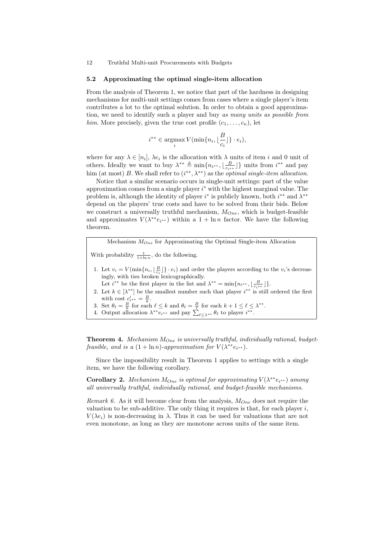#### 5.2 Approximating the optimal single-item allocation

From the analysis of Theorem 1, we notice that part of the hardness in designing mechanisms for multi-unit settings comes from cases where a single player's item contributes a lot to the optimal solution. In order to obtain a good approximation, we need to identify such a player and buy as many units as possible from him. More precisely, given the true cost profile  $(c_1, \ldots, c_n)$ , let

$$
i^{**} \in \operatorname*{argmax}_{i} V(\min\{n_i, \lfloor \frac{B}{c_i} \rfloor\} \cdot e_i),
$$

where for any  $\lambda \in [n_i]$ ,  $\lambda e_i$  is the allocation with  $\lambda$  units of item i and 0 unit of others. Ideally we want to buy  $\lambda^{**} \triangleq \min\{n_{i^{**}}, \lfloor \frac{B}{c_{i^{**}}} \rfloor\}$  units from  $i^{**}$  and pay him (at most) B. We shall refer to  $(i^{**}, \lambda^{**})$  as the *optimal single-item allocation*.

Notice that a similar scenario occurs in single-unit settings: part of the value approximation comes from a single player  $i^*$  with the highest marginal value. The problem is, although the identity of player  $i^*$  is publicly known, both  $i^{**}$  and  $\lambda^{**}$ depend on the players' true costs and have to be solved from their bids. Below we construct a universally truthful mechanism,  $M_{One}$ , which is budget-feasible and approximates  $V(\lambda^{**}e_{i^{**}})$  within a  $1 + \ln n$  factor. We have the following theorem.

Mechanism  $M_{One}$  for Approximating the Optimal Single-item Allocation

With probability  $\frac{1}{1+\ln n}$ , do the following.

- 1. Let  $v_i = V(\min\{n_i, \lfloor \frac{B}{c_i} \rfloor\} \cdot e_i)$  and order the players according to the  $v_i$ 's decreasingly, with ties broken lexicographically.
- Let  $i^{**}$  be the first player in the list and  $\lambda^{**} = \min\{n_{i^{**}}, \lfloor \frac{B}{c_{i^{**}}} \rfloor\}.$
- 2. Let  $k \in [\lambda^{**}]$  be the smallest number such that player  $i^{**}$  is still ordered the first with cost  $c'_{i^{**}} = \frac{B}{k}$ .
- 3. Set  $\theta_{\ell} = \frac{B}{k}$  for each  $\ell \leq k$  and  $\theta_{\ell} = \frac{B}{\ell}$  for each  $k + 1 \leq \ell \leq \lambda^{**}$ .
- 4. Output allocation  $\lambda^{**} e_{i^{**}}$  and pay  $\sum_{\ell \leq \lambda^{**}} \theta_{\ell}$  to player  $i^{**}$ .

**Theorem 4.** Mechanism  $M_{One}$  is universally truthful, individually rational, budgetfeasible, and is a  $(1 + \ln n)$ -approximation for  $V(\lambda^{**}e_{i^{**}})$ .

Since the impossibility result in Theorem 1 applies to settings with a single item, we have the following corollary.

**Corollary 2.** Mechanism  $M_{One}$  is optimal for approximating  $V(\lambda^{**}e_{i^{**}})$  among all universally truthful, individually rational, and budget-feasible mechanisms.

Remark 6. As it will become clear from the analysis,  $M_{One}$  does not require the valuation to be sub-additive. The only thing it requires is that, for each player  $i$ ,  $V(\lambda e_i)$  is non-decreasing in  $\lambda$ . Thus it can be used for valuations that are not even monotone, as long as they are monotone across units of the same item.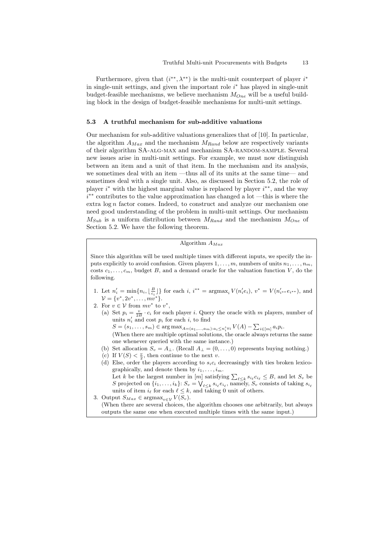Furthermore, given that  $(i^{**}, \lambda^{**})$  is the multi-unit counterpart of player  $i^*$ in single-unit settings, and given the important role  $i^*$  has played in single-unit budget-feasible mechanisms, we believe mechanism  $M_{One}$  will be a useful building block in the design of budget-feasible mechanisms for multi-unit settings.

#### 5.3 A truthful mechanism for sub-additive valuations

Our mechanism for sub-additive valuations generalizes that of [10]. In particular, the algorithm  $A_{Max}$  and the mechanism  $M_{Rand}$  below are respectively variants of their algorithm SA-ALG-MAX and mechanism SA-RANDOM-SAMPLE. Several new issues arise in multi-unit settings. For example, we must now distinguish between an item and a unit of that item. In the mechanism and its analysis, we sometimes deal with an item —thus all of its units at the same time— and sometimes deal with a single unit. Also, as discussed in Section 5.2, the role of player  $i^*$  with the highest marginal value is replaced by player  $i^{**}$ , and the way i ∗∗ contributes to the value approximation has changed a lot —this is where the extra  $log n$  factor comes. Indeed, to construct and analyze our mechanism one need good understanding of the problem in multi-unit settings. Our mechanism  $M_{Sub}$  is a uniform distribution between  $M_{Rand}$  and the mechanism  $M_{One}$  of Section 5.2. We have the following theorem.

### Algorithm  $A_{Max}$

Since this algorithm will be used multiple times with different inputs, we specify the inputs explicitly to avoid confusion. Given players  $1, \ldots, m$ , numbers of units  $n_1, \ldots, n_m$ , costs  $c_1, \ldots, c_m$ , budget B, and a demand oracle for the valuation function V, do the following.

- 1. Let  $n'_i = \min\{n_i, \lfloor \frac{B}{c_i} \rfloor\}$  for each i,  $i^{**} = \text{argmax}_i V(n'_i e_i)$ ,  $v^* = V(n'_{i^{**}} e_{i^{**}})$ , and  $\mathcal{V} = \{v^*, 2v^*, \dots, mv^*\}.$
- 2. For  $v \in V$  from  $mv^*$  to  $v^*$ ,
	- (a) Set  $p_i = \frac{v}{2B} \cdot c_i$  for each player *i*. Query the oracle with m players, number of units  $n'_i$  and cost  $p_i$  for each i, to find  $S = (s_1, \ldots, s_m) \in \arg \max_{A = (a_1, \ldots, a_m): a_i \leq n'_i \forall i} V(A) - \sum_{i \in [m]} a_i p_i.$ (When there are multiple optimal solutions, the oracle always returns the same one whenever queried with the same instance.)
	- (b) Set allocation  $S_v = A_{\perp}$ . (Recall  $A_{\perp} = (0, \ldots, 0)$  represents buying nothing.)
	- (c) If  $V(S) < \frac{v}{2}$ , then continue to the next v.
	- (d) Else, order the players according to  $s_i c_i$  decreasingly with ties broken lexicographically, and denote them by  $i_1, \ldots, i_m$ . Let k be the largest number in  $[m]$  satisfying  $\sum_{\ell \leq k} s_{i_{\ell}} c_{i_{\ell}} \leq B$ , and let  $S_v$  be S projected on  $\{i_1, \ldots, i_k\}$ :  $S_v = \bigvee_{\ell \leq k} s_{i_\ell} e_{i_\ell}$ , namely,  $S_v$  consists of taking  $s_{i_\ell}$ units of item  $i_\ell$  for each  $\ell \leq k$ , and taking 0 unit of others.

3. Output  $S_{Max} \in \text{argmax}_{v \in \mathcal{V}} V(S_v)$ . (When there are several choices, the algorithm chooses one arbitrarily, but always outputs the same one when executed multiple times with the same input.)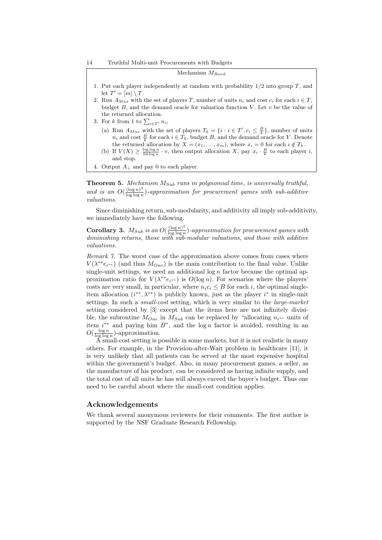| Mechanism $M_{Rand}$                                                                                  |
|-------------------------------------------------------------------------------------------------------|
| 1. Put each player independently at random with probability $1/2$ into group T, and                   |
| let $T' = [m] \setminus T$ .                                                                          |
| 2. Run $A_{Max}$ with the set of players T, number of units $n_i$ and cost $c_i$ for each $i \in T$ . |
| budget $B$ , and the demand oracle for valuation function V. Let $v$ be the value of                  |
| the returned allocation.                                                                              |
| 3. For k from 1 to $\sum_{i \in T'} n_i$ ,                                                            |
| $\ell \rightarrow \mathbf{D}$ and $\ell \rightarrow \ell$ and $\ell \rightarrow \ell$                 |

- (a) Run  $A_{Max}$  with the set of players  $T_k = \{i : i \in T', c_i \leq \frac{B}{k}\}\,$  number of units  $n_i$  and cost  $\frac{B}{k}$  for each  $i \in T_k$ , budget B, and the demand oracle for V. Denote the returned allocation by  $X = (x_1, \ldots, x_m)$ , where  $x_i = 0$  for each  $i \notin T_k$ .
- (b) If  $V(X) \geq \frac{\log \log n}{64 \log n} \cdot v$ , then output allocation X, pay  $x_i \cdot \frac{B}{k}$  to each player i, and stop.
- 4. Output  $A_{\perp}$  and pay 0 to each player.

**Theorem 5.** Mechanism  $M_{Sub}$  runs in polynomial time, is universally truthful, and is an  $O(\frac{(\log n)^2}{\log \log n})$  $\frac{\log n}{\log \log n}$ )-approximation for procurement games with sub-additive valuations.

Since diminishing return, sub-modularity, and additivity all imply sub-additivity, we immediately have the following.

Corollary 3.  $M_{Sub}$  is an  $O(\frac{(\log n)^2}{\log \log n})$  $\frac{\log n}{\log \log n}$ )-approximation for procurement games with diminishing returns, those with sub-modular valuations, and those with additive valuations.

Remark 7. The worst case of the approximation above comes from cases where  $V(\lambda^{**}e_{i^{**}})$  (and thus  $M_{One}$ ) is the main contribution to the final value. Unlike single-unit settings, we need an additional  $\log n$  factor because the optimal approximation ratio for  $V(\lambda^{**}e_{i^{**}})$  is  $O(\log n)$ . For scenarios where the players' costs are very small, in particular, where  $n_i c_i \leq B$  for each i, the optimal singleitem allocation  $(i^{**}, \lambda^{**})$  is publicly known, just as the player  $i^*$  in single-unit settings. In such a *small-cost* setting, which is very similar to the *large-market* setting considered by [3] except that the items here are not infinitely divisible, the subroutine  $M_{One}$  in  $M_{Sub}$  can be replaced by "allocating  $n_{i^{**}}$  units of item  $i^{**}$  and paying him  $B^"$ , and the log n factor is avoided, resulting in an  $O(\frac{\log n}{\log \log n})$ -approximation.

A small-cost setting is possible in some markets, but it is not realistic in many others. For example, in the Provision-after-Wait problem in healthcare [11], it is very unlikely that all patients can be served at the most expensive hospital within the government's budget. Also, in many procurement games, a seller, as the manufacture of his product, can be considered as having infinite supply, and the total cost of all units he has will always exceed the buyer's budget. Thus one need to be careful about where the small-cost condition applies.

### Acknowledgements

We thank several anonymous reviewers for their comments. The first author is supported by the NSF Graduate Research Fellowship.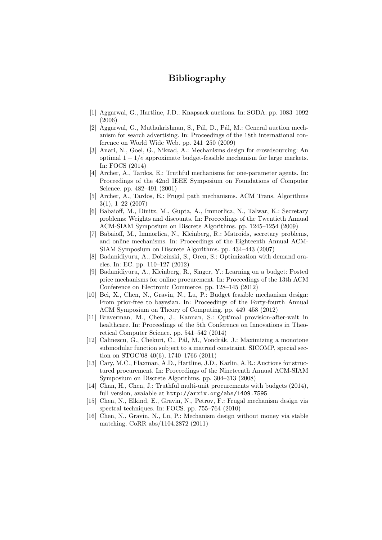# Bibliography

- [1] Aggarwal, G., Hartline, J.D.: Knapsack auctions. In: SODA. pp. 1083–1092 (2006)
- [2] Aggarwal, G., Muthukrishnan, S., Pál, D., Pál, M.: General auction mechanism for search advertising. In: Proceedings of the 18th international conference on World Wide Web. pp. 241–250 (2009)
- [3] Anari, N., Goel, G., Nikzad, A.: Mechanisms design for crowdsourcing: An optimal  $1 - 1/e$  approximate budget-feasible mechanism for large markets. In: FOCS (2014)
- [4] Archer, A., Tardos, E.: Truthful mechanisms for one-parameter agents. In: Proceedings of the 42nd IEEE Symposium on Foundations of Computer Science. pp. 482–491 (2001)
- [5] Archer, A., Tardos, E.: Frugal path mechanisms. ACM Trans. Algorithms 3(1), 1–22 (2007)
- [6] Babaioff, M., Dinitz, M., Gupta, A., Immorlica, N., Talwar, K.: Secretary problems: Weights and discounts. In: Proceedings of the Twentieth Annual ACM-SIAM Symposium on Discrete Algorithms. pp. 1245–1254 (2009)
- [7] Babaioff, M., Immorlica, N., Kleinberg, R.: Matroids, secretary problems, and online mechanisms. In: Proceedings of the Eighteenth Annual ACM-SIAM Symposium on Discrete Algorithms. pp. 434–443 (2007)
- [8] Badanidiyuru, A., Dobzinski, S., Oren, S.: Optimization with demand oracles. In: EC. pp. 110–127 (2012)
- [9] Badanidiyuru, A., Kleinberg, R., Singer, Y.: Learning on a budget: Posted price mechanisms for online procurement. In: Proceedings of the 13th ACM Conference on Electronic Commerce. pp. 128–145 (2012)
- [10] Bei, X., Chen, N., Gravin, N., Lu, P.: Budget feasible mechanism design: From prior-free to bayesian. In: Proceedings of the Forty-fourth Annual ACM Symposium on Theory of Computing. pp. 449–458 (2012)
- [11] Braverman, M., Chen, J., Kannan, S.: Optimal provision-after-wait in healthcare. In: Proceedings of the 5th Conference on Innovations in Theoretical Computer Science. pp. 541–542 (2014)
- [12] Calinescu, G., Chekuri, C., Pál, M., Vondrák, J.: Maximizing a monotone submodular function subject to a matroid constraint. SICOMP, special section on STOC'08 40(6), 1740–1766 (2011)
- [13] Cary, M.C., Flaxman, A.D., Hartline, J.D., Karlin, A.R.: Auctions for structured procurement. In: Proceedings of the Nineteenth Annual ACM-SIAM Symposium on Discrete Algorithms. pp. 304–313 (2008)
- [14] Chan, H., Chen, J.: Truthful multi-unit procurements with budgets (2014), full version, avaiable at http://arxiv.org/abs/1409.7595
- [15] Chen, N., Elkind, E., Gravin, N., Petrov, F.: Frugal mechanism design via spectral techniques. In: FOCS. pp. 755–764 (2010)
- [16] Chen, N., Gravin, N., Lu, P.: Mechanism design without money via stable matching. CoRR abs/1104.2872 (2011)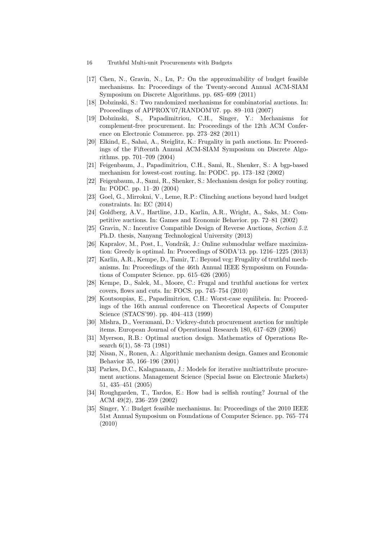- 16 Truthful Multi-unit Procurements with Budgets
- [17] Chen, N., Gravin, N., Lu, P.: On the approximability of budget feasible mechanisms. In: Proceedings of the Twenty-second Annual ACM-SIAM Symposium on Discrete Algorithms. pp. 685–699 (2011)
- [18] Dobzinski, S.: Two randomized mechanisms for combinatorial auctions. In: Proceedings of APPROX'07/RANDOM'07. pp. 89–103 (2007)
- [19] Dobzinski, S., Papadimitriou, C.H., Singer, Y.: Mechanisms for complement-free procurement. In: Proceedings of the 12th ACM Conference on Electronic Commerce. pp. 273–282 (2011)
- [20] Elkind, E., Sahai, A., Steiglitz, K.: Frugality in path auctions. In: Proceedings of the Fifteenth Annual ACM-SIAM Symposium on Discrete Algorithms. pp. 701–709 (2004)
- [21] Feigenbaum, J., Papadimitriou, C.H., Sami, R., Shenker, S.: A bgp-based mechanism for lowest-cost routing. In: PODC. pp. 173–182 (2002)
- [22] Feigenbaum, J., Sami, R., Shenker, S.: Mechanism design for policy routing. In: PODC. pp. 11–20 (2004)
- [23] Goel, G., Mirrokni, V., Leme, R.P.: Clinching auctions beyond hard budget constraints. In: EC (2014)
- [24] Goldberg, A.V., Hartline, J.D., Karlin, A.R., Wright, A., Saks, M.: Competitive auctions. In: Games and Economic Behavior. pp. 72–81 (2002)
- [25] Gravin, N.: Incentive Compatible Design of Reverse Auctions, Section 5.2. Ph.D. thesis, Nanyang Technological University (2013)
- [26] Kapralov, M., Post, I., Vondrák, J.: Online submodular welfare maximization: Greedy is optimal. In: Proceedings of SODA'13. pp. 1216–1225 (2013)
- [27] Karlin, A.R., Kempe, D., Tamir, T.: Beyond vcg: Frugality of truthful mechanisms. In: Proceedings of the 46th Annual IEEE Symposium on Foundations of Computer Science. pp. 615–626 (2005)
- [28] Kempe, D., Salek, M., Moore, C.: Frugal and truthful auctions for vertex covers, flows and cuts. In: FOCS. pp. 745–754 (2010)
- [29] Koutsoupias, E., Papadimitriou, C.H.: Worst-case equilibria. In: Proceedings of the 16th annual conference on Theoretical Aspects of Computer Science (STACS'99). pp. 404–413 (1999)
- [30] Mishra, D., Veeramani, D.: Vickrey-dutch procurement auction for multiple items. European Journal of Operational Research 180, 617–629 (2006)
- [31] Myerson, R.B.: Optimal auction design. Mathematics of Operations Research 6(1), 58–73 (1981)
- [32] Nisan, N., Ronen, A.: Algorithmic mechanism design. Games and Economic Behavior 35, 166–196 (2001)
- [33] Parkes, D.C., Kalagnanam, J.: Models for iterative multiattribute procurement auctions. Management Science (Special Issue on Electronic Markets) 51, 435–451 (2005)
- [34] Roughgarden, T., Tardos, E.: How bad is selfish routing? Journal of the ACM 49(2), 236–259 (2002)
- [35] Singer, Y.: Budget feasible mechanisms. In: Proceedings of the 2010 IEEE 51st Annual Symposium on Foundations of Computer Science. pp. 765–774 (2010)